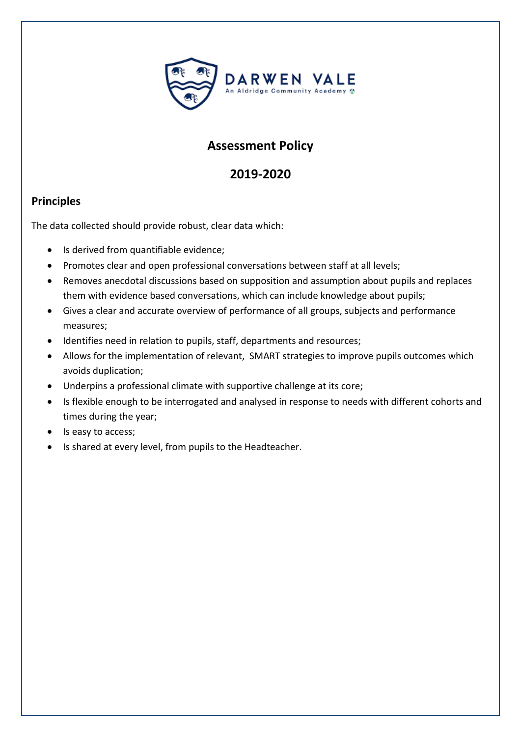

# **Assessment Policy**

## **2019-2020**

### **Principles**

The data collected should provide robust, clear data which:

- Is derived from quantifiable evidence;
- Promotes clear and open professional conversations between staff at all levels;
- Removes anecdotal discussions based on supposition and assumption about pupils and replaces them with evidence based conversations, which can include knowledge about pupils;
- Gives a clear and accurate overview of performance of all groups, subjects and performance measures;
- Identifies need in relation to pupils, staff, departments and resources;
- Allows for the implementation of relevant, SMART strategies to improve pupils outcomes which avoids duplication;
- Underpins a professional climate with supportive challenge at its core;
- Is flexible enough to be interrogated and analysed in response to needs with different cohorts and times during the year;
- Is easy to access;
- Is shared at every level, from pupils to the Headteacher.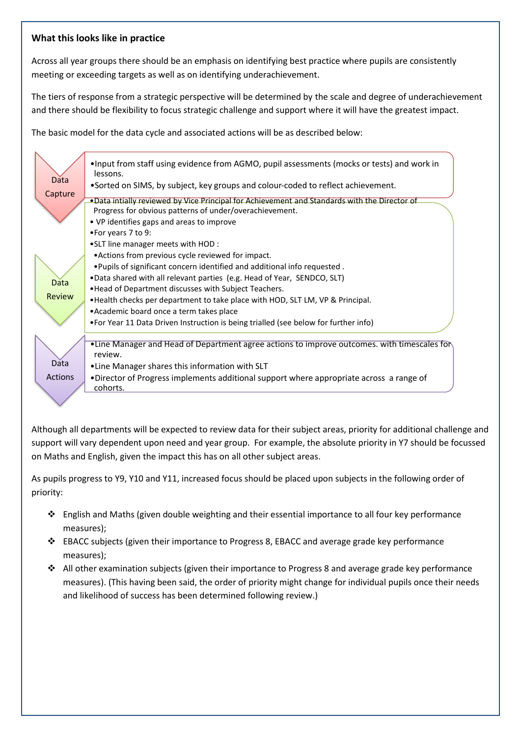#### **What this looks like in practice**

Across all year groups there should be an emphasis on identifying best practice where pupils are consistently meeting or exceeding targets as well as on identifying underachievement.

The tiers of response from a strategic perspective will be determined by the scale and degree of underachievement and there should be flexibility to focus strategic challenge and support where it will have the greatest impact.

The basic model for the data cycle and associated actions will be as described below:

| Data<br>Capture<br><b>Data</b><br>Review | . Input from staff using evidence from AGMO, pupil assessments (mocks or tests) and work in<br>lessons.<br>•Sorted on SIMS, by subject, key groups and colour-coded to reflect achievement.<br>. Data intially reviewed by Vice Principal for Achievement and Standards with the Director of<br>Progress for obvious patterns of under/overachievement.<br>• VP identifies gaps and areas to improve<br>•For years 7 to 9:<br>• SLT line manager meets with HOD:<br>• Actions from previous cycle reviewed for impact.<br>. Pupils of significant concern identified and additional info requested.<br>.Data shared with all relevant parties (e.g. Head of Year, SENDCO, SLT)<br>. Head of Department discusses with Subject Teachers.<br>• Health checks per department to take place with HOD, SLT LM, VP & Principal. |
|------------------------------------------|---------------------------------------------------------------------------------------------------------------------------------------------------------------------------------------------------------------------------------------------------------------------------------------------------------------------------------------------------------------------------------------------------------------------------------------------------------------------------------------------------------------------------------------------------------------------------------------------------------------------------------------------------------------------------------------------------------------------------------------------------------------------------------------------------------------------------|
|                                          | • Academic board once a term takes place                                                                                                                                                                                                                                                                                                                                                                                                                                                                                                                                                                                                                                                                                                                                                                                  |
|                                          | • For Year 11 Data Driven Instruction is being trialled (see below for further info)                                                                                                                                                                                                                                                                                                                                                                                                                                                                                                                                                                                                                                                                                                                                      |
| Data                                     | •Line Manager and Head of Department agree actions to improve outcomes. with timescales for<br>review.<br>•Line Manager shares this information with SLT                                                                                                                                                                                                                                                                                                                                                                                                                                                                                                                                                                                                                                                                  |
| Actions                                  | . Director of Progress implements additional support where appropriate across a range of<br>cohorts.                                                                                                                                                                                                                                                                                                                                                                                                                                                                                                                                                                                                                                                                                                                      |
|                                          |                                                                                                                                                                                                                                                                                                                                                                                                                                                                                                                                                                                                                                                                                                                                                                                                                           |

Although all departments will be expected to review data for their subject areas, priority for additional challenge and support will vary dependent upon need and year group. For example, the absolute priority in Y7 should be focussed on Maths and English, given the impact this has on all other subject areas.

As pupils progress to Y9, Y10 and Y11, increased focus should be placed upon subjects in the following order of priority:

- ❖ English and Maths (given double weighting and their essential importance to all four key performance measures);
- ❖ EBACC subjects (given their importance to Progress 8, EBACC and average grade key performance measures);
- ❖ All other examination subjects (given their importance to Progress 8 and average grade key performance measures). (This having been said, the order of priority might change for individual pupils once their needs and likelihood of success has been determined following review.)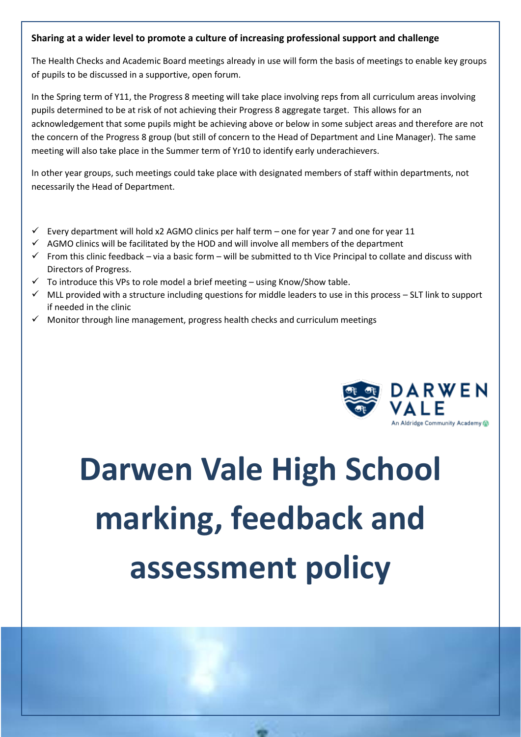#### **Sharing at a wider level to promote a culture of increasing professional support and challenge**

The Health Checks and Academic Board meetings already in use will form the basis of meetings to enable key groups of pupils to be discussed in a supportive, open forum.

In the Spring term of Y11, the Progress 8 meeting will take place involving reps from all curriculum areas involving pupils determined to be at risk of not achieving their Progress 8 aggregate target. This allows for an acknowledgement that some pupils might be achieving above or below in some subject areas and therefore are not the concern of the Progress 8 group (but still of concern to the Head of Department and Line Manager). The same meeting will also take place in the Summer term of Yr10 to identify early underachievers.

In other year groups, such meetings could take place with designated members of staff within departments, not necessarily the Head of Department.

- Every department will hold x2 AGMO clinics per half term one for year 7 and one for year 11
- $\checkmark$  AGMO clinics will be facilitated by the HOD and will involve all members of the department
- $\checkmark$  From this clinic feedback via a basic form will be submitted to th Vice Principal to collate and discuss with Directors of Progress.
- $\checkmark$  To introduce this VPs to role model a brief meeting using Know/Show table.
- $\checkmark$  MLL provided with a structure including questions for middle leaders to use in this process SLT link to support if needed in the clinic
- $\checkmark$  Monitor through line management, progress health checks and curriculum meetings



# **Darwen Vale High School marking, feedback and assessment policy**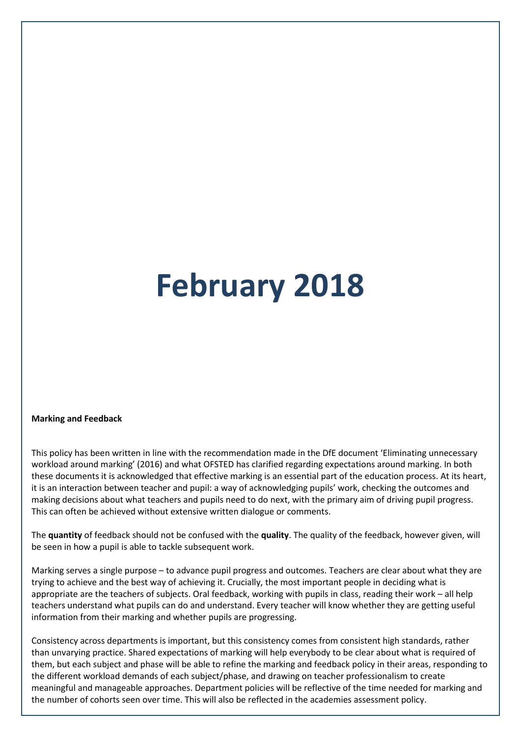# **February 2018**

#### **Marking and Feedback**

This policy has been written in line with the recommendation made in the DfE document 'Eliminating unnecessary workload around marking' (2016) and what OFSTED has clarified regarding expectations around marking. In both these documents it is acknowledged that effective marking is an essential part of the education process. At its heart, it is an interaction between teacher and pupil: a way of acknowledging pupils' work, checking the outcomes and making decisions about what teachers and pupils need to do next, with the primary aim of driving pupil progress. This can often be achieved without extensive written dialogue or comments.

The **quantity** of feedback should not be confused with the **quality**. The quality of the feedback, however given, will be seen in how a pupil is able to tackle subsequent work.

Marking serves a single purpose – to advance pupil progress and outcomes. Teachers are clear about what they are trying to achieve and the best way of achieving it. Crucially, the most important people in deciding what is appropriate are the teachers of subjects. Oral feedback, working with pupils in class, reading their work – all help teachers understand what pupils can do and understand. Every teacher will know whether they are getting useful information from their marking and whether pupils are progressing.

Consistency across departments is important, but this consistency comes from consistent high standards, rather than unvarying practice. Shared expectations of marking will help everybody to be clear about what is required of them, but each subject and phase will be able to refine the marking and feedback policy in their areas, responding to the different workload demands of each subject/phase, and drawing on teacher professionalism to create meaningful and manageable approaches. Department policies will be reflective of the time needed for marking and the number of cohorts seen over time. This will also be reflected in the academies assessment policy.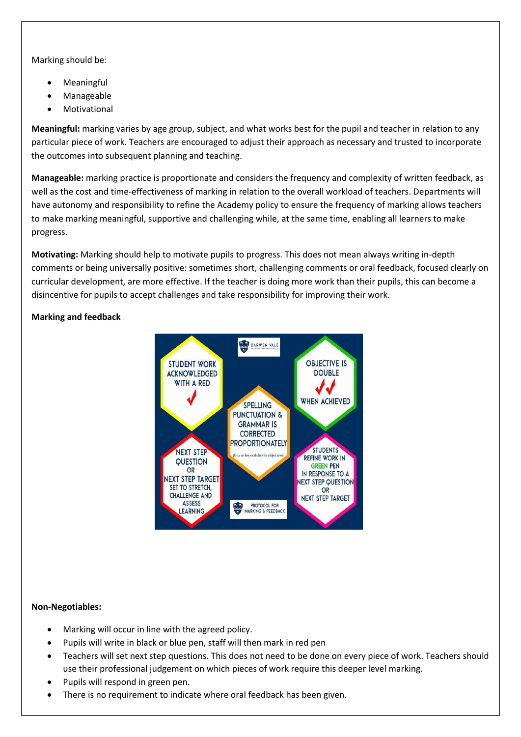Marking should be:

- **Meaningful**
- Manageable
- **Motivational**

**Meaningful:** marking varies by age group, subject, and what works best for the pupil and teacher in relation to any particular piece of work. Teachers are encouraged to adjust their approach as necessary and trusted to incorporate the outcomes into subsequent planning and teaching.

**Manageable:** marking practice is proportionate and considers the frequency and complexity of written feedback, as well as the cost and time-effectiveness of marking in relation to the overall workload of teachers. Departments will have autonomy and responsibility to refine the Academy policy to ensure the frequency of marking allows teachers to make marking meaningful, supportive and challenging while, at the same time, enabling all learners to make progress.

**Motivating:** Marking should help to motivate pupils to progress. This does not mean always writing in-depth comments or being universally positive: sometimes short, challenging comments or oral feedback, focused clearly on curricular development, are more effective. If the teacher is doing more work than their pupils, this can become a disincentive for pupils to accept challenges and take responsibility for improving their work.

#### **Marking and feedback**



#### **Non-Negotiables:**

- Marking will occur in line with the agreed policy.
- Pupils will write in black or blue pen, staff will then mark in red pen
- Teachers will set next step questions. This does not need to be done on every piece of work. Teachers should use their professional judgement on which pieces of work require this deeper level marking.
- Pupils will respond in green pen.
- There is no requirement to indicate where oral feedback has been given.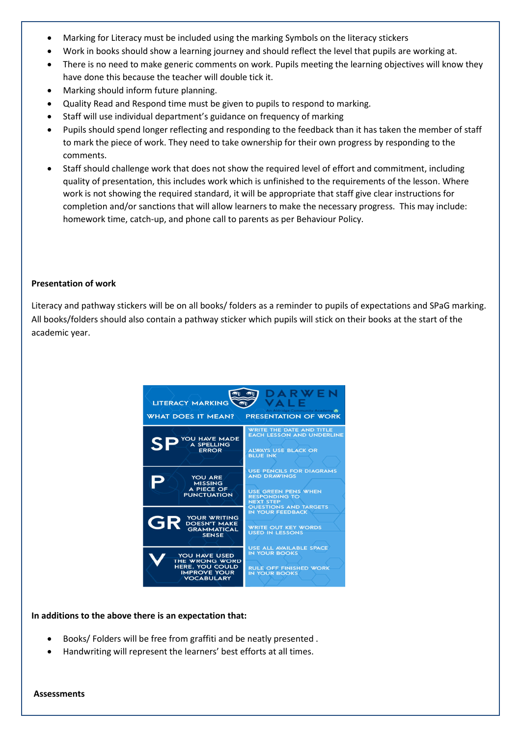- Marking for Literacy must be included using the marking Symbols on the literacy stickers
- Work in books should show a learning journey and should reflect the level that pupils are working at.
- There is no need to make generic comments on work. Pupils meeting the learning objectives will know they have done this because the teacher will double tick it.
- Marking should inform future planning.
- Quality Read and Respond time must be given to pupils to respond to marking.
- Staff will use individual department's guidance on frequency of marking
- Pupils should spend longer reflecting and responding to the feedback than it has taken the member of staff to mark the piece of work. They need to take ownership for their own progress by responding to the comments.
- Staff should challenge work that does not show the required level of effort and commitment, including quality of presentation, this includes work which is unfinished to the requirements of the lesson. Where work is not showing the required standard, it will be appropriate that staff give clear instructions for completion and/or sanctions that will allow learners to make the necessary progress. This may include: homework time, catch-up, and phone call to parents as per Behaviour Policy.

#### **Presentation of work**

Literacy and pathway stickers will be on all books/ folders as a reminder to pupils of expectations and SPaG marking. All books/folders should also contain a pathway sticker which pupils will stick on their books at the start of the academic year.



#### **In additions to the above there is an expectation that:**

- Books/ Folders will be free from graffiti and be neatly presented .
- Handwriting will represent the learners' best efforts at all times.

**Assessments**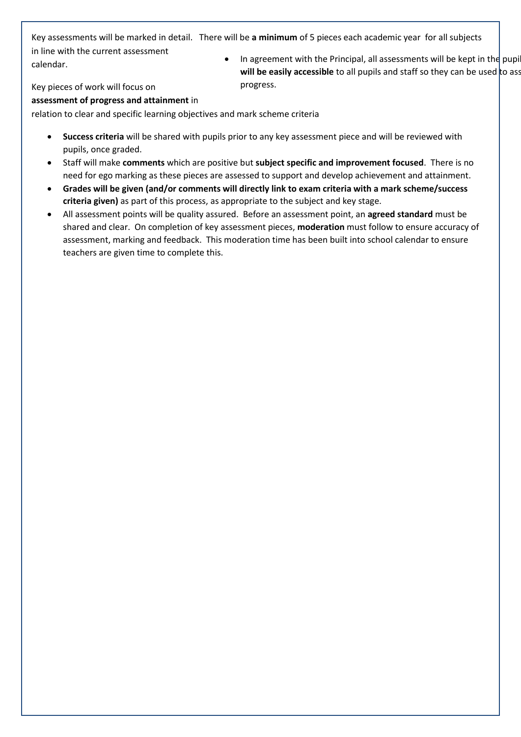Key assessments will be marked in detail. There will be **a minimum** of 5 pieces each academic year for all subjects

in line with the current assessment calendar.

• In agreement with the Principal, all assessments will be kept in the pupi **will be easily accessible** to all pupils and staff so they can be used to asset further and progress.

Key pieces of work will focus on

#### **assessment of progress and attainment** in

relation to clear and specific learning objectives and mark scheme criteria

- **Success criteria** will be shared with pupils prior to any key assessment piece and will be reviewed with pupils, once graded.
- Staff will make **comments** which are positive but **subject specific and improvement focused**. There is no need for ego marking as these pieces are assessed to support and develop achievement and attainment.
- **Grades will be given (and/or comments will directly link to exam criteria with a mark scheme/success criteria given)** as part of this process, as appropriate to the subject and key stage.
- All assessment points will be quality assured. Before an assessment point, an **agreed standard** must be shared and clear. On completion of key assessment pieces, **moderation** must follow to ensure accuracy of assessment, marking and feedback. This moderation time has been built into school calendar to ensure teachers are given time to complete this.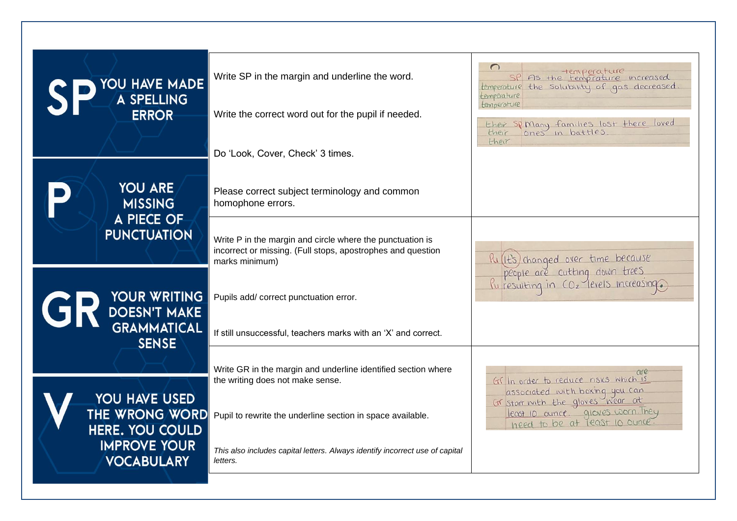| YOU HAVE MADE<br>A SPELLING<br><b>ERROR</b>     | Write SP in the margin and underline the word.<br>Write the correct word out for the pupil if needed.                                      | sp As the temperature increased<br>temperature the solubility of gas decreased<br>temperature<br>temperature<br>their sp Many families lost there loved |
|-------------------------------------------------|--------------------------------------------------------------------------------------------------------------------------------------------|---------------------------------------------------------------------------------------------------------------------------------------------------------|
|                                                 | Do 'Look, Cover, Check' 3 times.                                                                                                           | their                                                                                                                                                   |
| <b>YOU ARE</b><br><b>MISSING</b>                | Please correct subject terminology and common<br>homophone errors.                                                                         |                                                                                                                                                         |
| A PIECE OF<br><b>PUNCTUATION</b>                | Write P in the margin and circle where the punctuation is<br>incorrect or missing. (Full stops, apostrophes and question<br>marks minimum) | Ru(It's) changed over time because                                                                                                                      |
| <b>GR DOESN'T MAKE</b>                          | Pupils add/ correct punctuation error.                                                                                                     | people are cutting down trees                                                                                                                           |
| <b>GRAMMATICAL</b><br><b>SENSE</b>              | If still unsuccessful, teachers marks with an 'X' and correct.                                                                             |                                                                                                                                                         |
| YOU HAVE USED                                   | Write GR in the margin and underline identified section where<br>the writing does not make sense.                                          | Gr In order to reduce risks which is<br>associated with boxing you can                                                                                  |
| <b>THE WRONG WORD</b><br><b>HERE. YOU COULD</b> | Pupil to rewrite the underline section in space available.                                                                                 | least 10 aunce gloves worn They<br>need to be at least 10 ounce.                                                                                        |
| <b>IMPROVE YOUR</b><br><b>VOCABULARY</b>        | This also includes capital letters. Always identify incorrect use of capital<br>letters.                                                   |                                                                                                                                                         |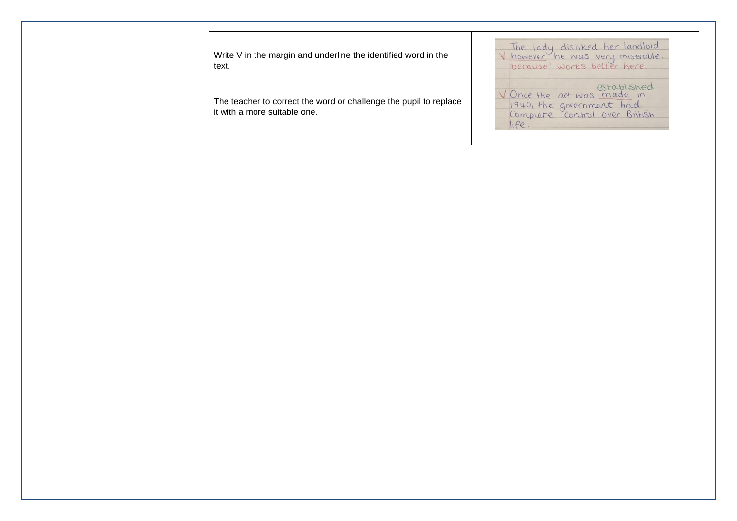The lady distiked her landlord<br>V however he was very miserable.<br>'because' works better here. Write V in the margin and underline the identified word in the text. V Once the act was made in The teacher to correct the word or challenge the pupil to replace 1940, the government had<br>Compute Control over British it with a more suitable one. $here.$